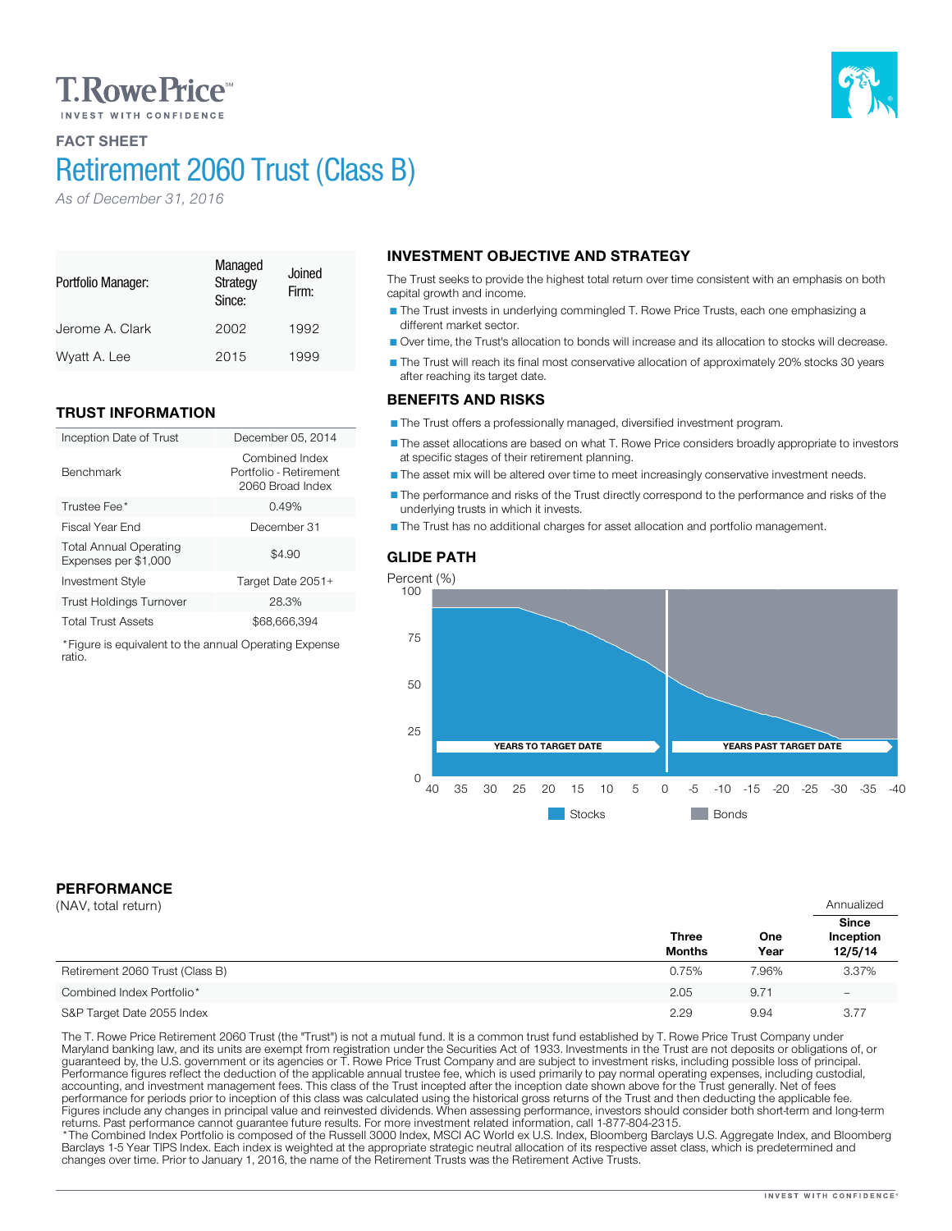## **T. Rowe Price**

## FACT SHEET

Portfolio Manager:

Benchmark

ratio.

# Retirement 2060 Trust (Class B)

Managed **Strategy** Since:

Jerome A. Clark 2002 1992 Wyatt A. Lee 2015 1999

Inception Date of Trust December 05, 2014

Trustee Fee<sup>\*</sup> 2.49% 3.49% 3.49% 3.5 and 3.49% 3.5 and 3.49% 3.5 and 3.49% 3.5 and 3.49% 3.5 and 3.49% 3.5 and 3.49% 3.5 and 3.49% 3.49% 3.49% 3.49% 3.49% 3.49% 3.49% 3.49% 3.49% 3.49% 3.49% 3.49% 3.49% 3.49% 3.49% 3.49% 3 Fiscal Year End December 31

Investment Style Target Date 2051+ Trust Holdings Turnover 28.3% Total Trust Assets \$68,666,394 \*Figure is equivalent to the annual Operating Expense

Firm:

Combined Index Portfolio - Retirement 2060 Broad Index

 $$4.90$ 

*As of December 31, 2016*

TRUST INFORMATION

Total Annual Operating Expenses per \$1,000

### INVESTMENT OBJECTIVE AND STRATEGY Joined

The Trust seeks to provide the highest total return over time consistent with an emphasis on both capital growth and income.

The Trust invests in underlying commingled T. Rowe Price Trusts, each one emphasizing a different market sector.

Over time, the Trust's allocation to bonds will increase and its allocation to stocks will decrease.

The Trust will reach its final most conservative allocation of approximately 20% stocks 30 years after reaching its target date.

### BENEFITS AND RISKS

The Trust offers a professionally managed, diversified investment program.

The asset allocations are based on what T. Rowe Price considers broadly appropriate to investors at specific stages of their retirement planning.

The asset mix will be altered over time to meet increasingly conservative investment needs.

The performance and risks of the Trust directly correspond to the performance and risks of the underlying trusts in which it invests.

The Trust has no additional charges for asset allocation and portfolio management.

### GLIDE PATH



## PERFORMANCE

| (NAV, total return)             |                               |             | Annualized                           |
|---------------------------------|-------------------------------|-------------|--------------------------------------|
|                                 | <b>Three</b><br><b>Months</b> | One<br>Year | <b>Since</b><br>Inception<br>12/5/14 |
| Retirement 2060 Trust (Class B) | 0.75%                         | 7.96%       | 3.37%                                |
| Combined Index Portfolio*       | 2.05                          | 9.71        | $\overline{\phantom{0}}$             |
| S&P Target Date 2055 Index      | 2.29                          | 9.94        | 3.77                                 |

The T. Rowe Price Retirement 2060 Trust (the "Trust") is not a mutual fund. It is a common trust fund established by T. Rowe Price Trust Company under Maryland banking law, and its units are exempt from registration under

returns. Past performance cannot guarantee future results. For more investment related information, call 1-877-804-2315.<br>\*The Combined Index Portfolio is composed of the Russell 3000 Index, MSCI AC World ex U.S. Index, Blo Barclays 1-5 Year TIPS Index. Each index is weighted at the appropriate strategic neutral allocation of its respective asset class, which is predetermined and changes over time. Prior to January 1, 2016, the name of the Retirement Trusts was the Retirement Active Trusts.

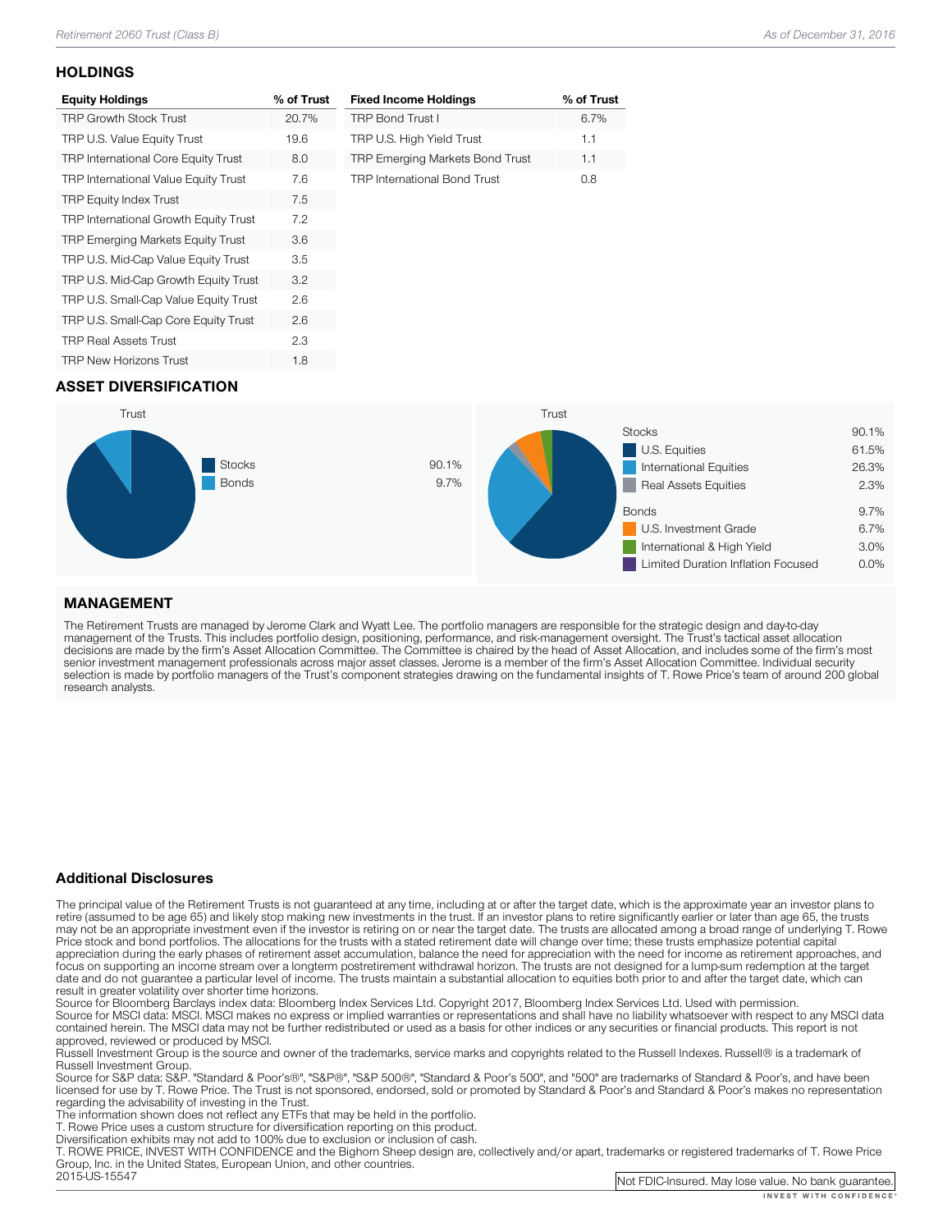#### **HOLDINGS**

| <b>Equity Holdings</b>                     | % of Trust |
|--------------------------------------------|------------|
| <b>TRP Growth Stock Trust</b>              | 20.7%      |
| TRP U.S. Value Equity Trust                | 19.6       |
| <b>TRP International Core Equity Trust</b> | 8.0        |
| TRP International Value Equity Trust       | 7.6        |
| <b>TRP Equity Index Trust</b>              | 7.5        |
| TRP International Growth Equity Trust      | 7.2        |
| <b>TRP Emerging Markets Equity Trust</b>   | 3.6        |
| TRP U.S. Mid-Cap Value Equity Trust        | 3.5        |
| TRP U.S. Mid-Cap Growth Equity Trust       | 3.2        |
| TRP U.S. Small-Cap Value Equity Trust      | 2.6        |
| TRP U.S. Small-Cap Core Equity Trust       | 2.6        |
| <b>TRP Real Assets Trust</b>               | 2.3        |
| <b>TRP New Horizons Trust</b>              | 1.8        |

| <b>Fixed Income Holdings</b>           | % of Trust |
|----------------------------------------|------------|
| <b>TRP Bond Trust I</b>                | 6.7%       |
| TRP U.S. High Yield Trust              | 1.1        |
| <b>TRP Emerging Markets Bond Trust</b> | 1.1        |
| <b>TRP International Bond Trust</b>    | nя         |

## ASSET DIVERSIFICATION



### MANAGEMENT

The Retirement Trusts are managed by Jerome Clark and Wyatt Lee. The portfolio managers are responsible for the strategic design and day-to-day<br>management of the Trusts. This includes portfolio design, positioning, perform research analysts.

#### Additional Disclosures

The principal value of the Retirement Trusts is not guaranteed at any time, including at or after the target date, which is the approximate year an investor plans to retire (assumed to be age 65) and likely stop making new may not be an appropriate investment even if the investor is retiring on or near the target date. The trusts are allocated among a broad range of underlying T. Rowe<br>Price stock and bond portfolios. The allocations for the focus on supporting an income stream over a longterm postretirement withdrawal horizon. The trusts are not designed for a lump-sum redemption at the target date and do not guarantee a particular level of income. The trusts maintain a substantial allocation to equities both prior to and after the target date, which can result in greater volatility over shorter time horizons.

Source for Bloomberg Barclays index data: Bloomberg Index Services Ltd. Copyright 2017, Bloomberg Index Services Ltd. Used with permission.<br>Source for MSCI data: MSCI. MSCI makes no express or implied warranties or represe

approved, reviewed or produced by MSCI.<br>Russell Investment Group is the source and owner of the trademarks, service marks and copyrights related to the Russell Indexes. Russell® is a trademark of<br>Russell Investment Group.

Russell Investment Group. Source Group and Group", "Same Source for Source for Source for Standard & Boorge and Supers, and have been licensed for use by T. Rowe Price. The Trust is not sponsored, endorsed, sold or promoted by Standard & Poor's and Standard & Poor's makes no representation<br>regarding the advisability of investing in the Trust.

The information shown does not reflect any ETFs that may be held in the portfolio.<br>T. Rowe Price uses a custom structure for diversification reporting on this product.<br>Diversification exhibits may not add to 100% due to ex